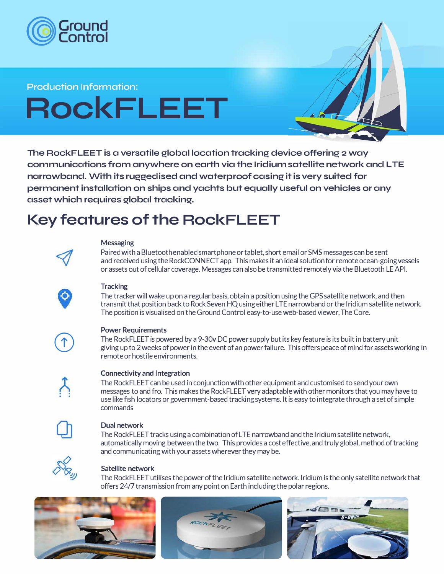

#### **Production Information:**

# **RockFLEET**

**The RockFLEET is a versatile global location tracking device offering 2 way communications from anywhere on earth via the Iridium satellite network and LTE narrowband. With its ruggedised and waterproof casing it is very suited for permanent installation on ships and yachts but equally useful on vehicles or any asset which requires global tracking.** 

### **Key features of the RockFLEET**



#### **Messaging**

Paired with a Bluetooth enabled smartphone or tablet, short email or SMS messages can be sent and received using the RockCONNECT app. This makes it an ideal solution for remote ocean-going vessels or assets out of cellular coverage. Messages can also be transmitted remotely via the Bluetooth LE API.

#### **Tracking**

The tracker will wake up on a regular basis, obtain a position using the GPS satellite network, and then transmit that position back to Rock Seven HQ using either LTE narrowband or the Iridium satellite network. The position is visualised on the Ground Control easy-to-use web-based viewer, The Core.



#### **Power Requirements**

The RockFLEET is powered by a 9-30v DC power supply but its key feature is its built in battery unit giving up to 2 weeks of power in the event of an power failure. This offers peace of mind for assets working in remote or hostile environments.



#### **Connectivity and Integration**

The RockFLEET can be used in conjunction with other equipment and customised to send your own messages to and fro. This makes the RockFLEET very adaptable with other monitors that you may have to use like fish locators or government-based tracking systems. It is easy to integrate through a set of simple commands



#### **Dual network**

The RockFLEET tracks using a combination of LTE narrowband and the Iridium satellite network, automatically moving between the two. This provides a cost effective, and truly global, method of tracking and communicating with your assets wherever they may be.



#### **Satellite network**

The RockFLEET utilises the power of the Iridium satellite network. Iridium is the only satellite network that offers 24/7 transmission from any point on Earth including the polar regions.